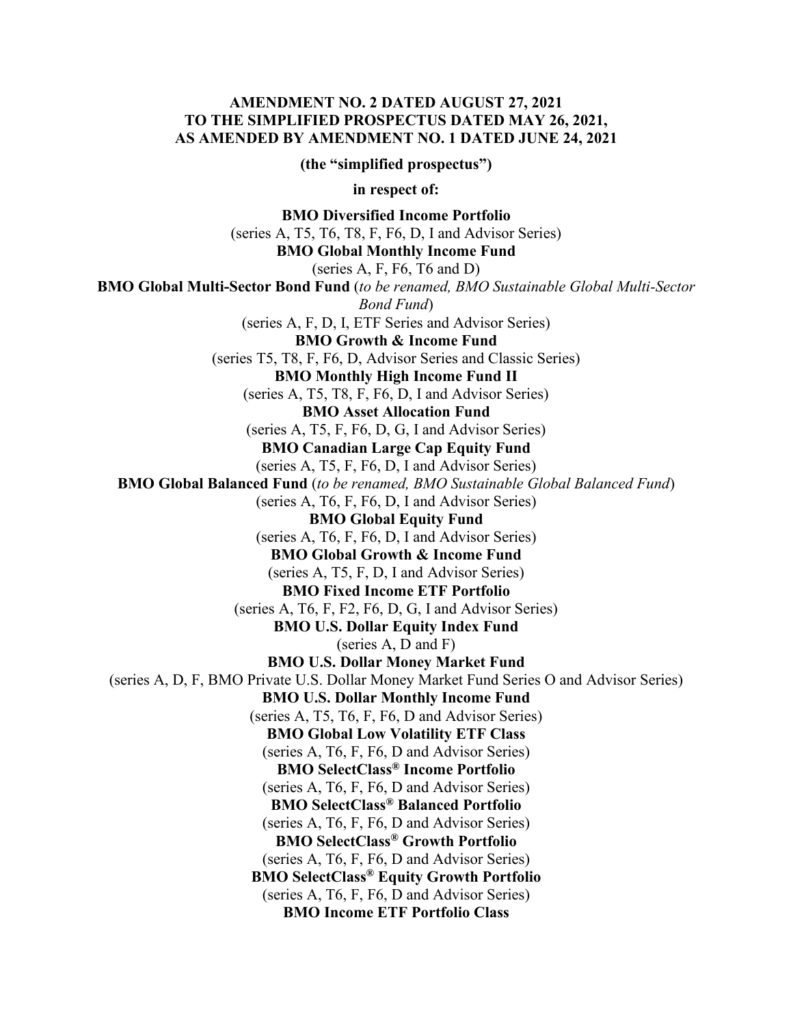#### **AMENDMENT NO. 2 DATED AUGUST 27, 2021 TO THE SIMPLIFIED PROSPECTUS DATED MAY 26, 2021, AS AMENDED BY AMENDMENT NO. 1 DATED JUNE 24, 2021**

**(the "simplified prospectus")**

**in respect of:**

**BMO Diversified Income Portfolio** 

(series A, T5, T6, T8, F, F6, D, I and Advisor Series)

**BMO Global Monthly Income Fund** 

(series A, F, F6, T6 and D)

**BMO Global Multi-Sector Bond Fund** (*to be renamed, BMO Sustainable Global Multi-Sector Bond Fund*) (series A, F, D, I, ETF Series and Advisor Series) **BMO Growth & Income Fund**  (series T5, T8, F, F6, D, Advisor Series and Classic Series) **BMO Monthly High Income Fund II**  (series A, T5, T8, F, F6, D, I and Advisor Series) **BMO Asset Allocation Fund**  (series A, T5, F, F6, D, G, I and Advisor Series) **BMO Canadian Large Cap Equity Fund**  (series A, T5, F, F6, D, I and Advisor Series) **BMO Global Balanced Fund** (*to be renamed, BMO Sustainable Global Balanced Fund*) (series A, T6, F, F6, D, I and Advisor Series) **BMO Global Equity Fund**  (series A, T6, F, F6, D, I and Advisor Series) **BMO Global Growth & Income Fund** (series A, T5, F, D, I and Advisor Series) **BMO Fixed Income ETF Portfolio**  (series A, T6, F, F2, F6, D, G, I and Advisor Series) **BMO U.S. Dollar Equity Index Fund**  (series A, D and F) **BMO U.S. Dollar Money Market Fund**  (series A, D, F, BMO Private U.S. Dollar Money Market Fund Series O and Advisor Series) **BMO U.S. Dollar Monthly Income Fund**  (series A, T5, T6, F, F6, D and Advisor Series) **BMO Global Low Volatility ETF Class**  (series A, T6, F, F6, D and Advisor Series) **BMO SelectClass® Income Portfolio** (series A, T6, F, F6, D and Advisor Series) **BMO SelectClass® Balanced Portfolio** (series A, T6, F, F6, D and Advisor Series) **BMO SelectClass® Growth Portfolio** (series A, T6, F, F6, D and Advisor Series) **BMO SelectClass® Equity Growth Portfolio** (series A, T6, F, F6, D and Advisor Series) **BMO Income ETF Portfolio Class**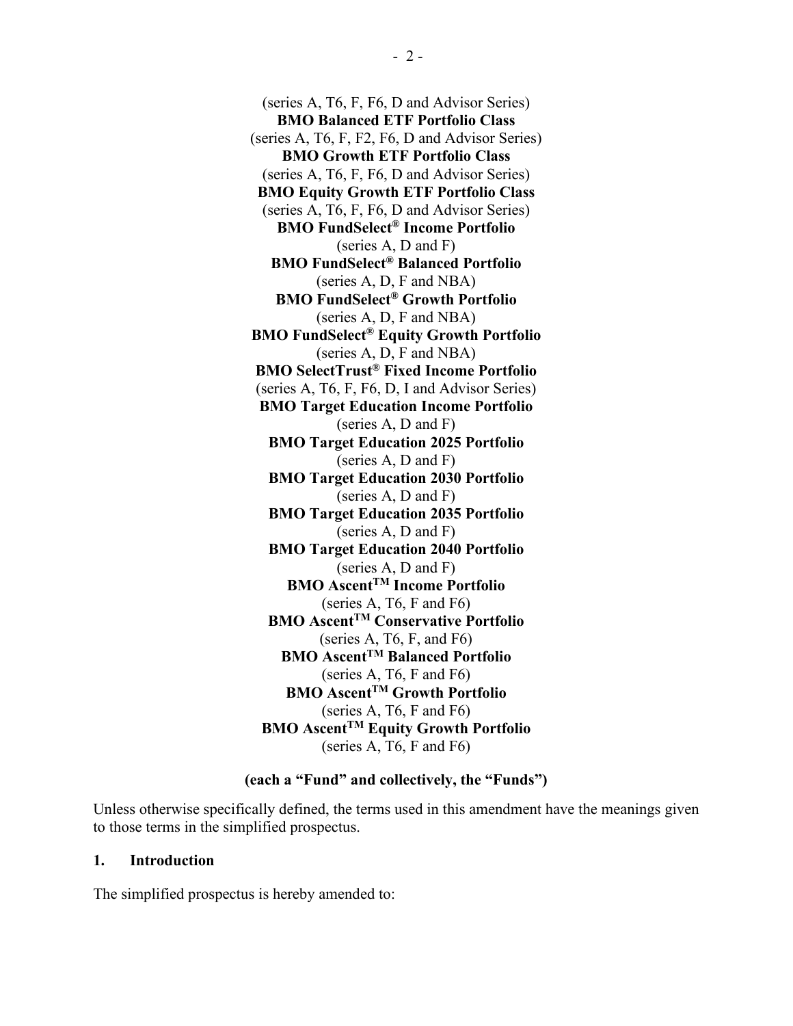(series A, T6, F, F6, D and Advisor Series) **BMO Balanced ETF Portfolio Class** (series A, T6, F, F2, F6, D and Advisor Series) **BMO Growth ETF Portfolio Class** (series A, T6, F, F6, D and Advisor Series) **BMO Equity Growth ETF Portfolio Class** (series A, T6, F, F6, D and Advisor Series) **BMO FundSelect® Income Portfolio** (series A, D and F) **BMO FundSelect® Balanced Portfolio** (series A, D, F and NBA) **BMO FundSelect® Growth Portfolio** (series A, D, F and NBA) **BMO FundSelect® Equity Growth Portfolio** (series A, D, F and NBA) **BMO SelectTrust® Fixed Income Portfolio** (series A, T6, F, F6, D, I and Advisor Series) **BMO Target Education Income Portfolio** (series A, D and F) **BMO Target Education 2025 Portfolio** (series A, D and F) **BMO Target Education 2030 Portfolio** (series A, D and F) **BMO Target Education 2035 Portfolio** (series A, D and F) **BMO Target Education 2040 Portfolio** (series A, D and F) **BMO AscentTM Income Portfolio** (series A, T6, F and F6) **BMO AscentTM Conservative Portfolio** (series A, T6, F, and F6) **BMO AscentTM Balanced Portfolio** (series A, T6, F and F6) **BMO AscentTM Growth Portfolio** (series A, T6, F and F6) **BMO AscentTM Equity Growth Portfolio**  (series A, T6, F and F6)

#### **(each a "Fund" and collectively, the "Funds")**

Unless otherwise specifically defined, the terms used in this amendment have the meanings given to those terms in the simplified prospectus.

#### **1. Introduction**

The simplified prospectus is hereby amended to: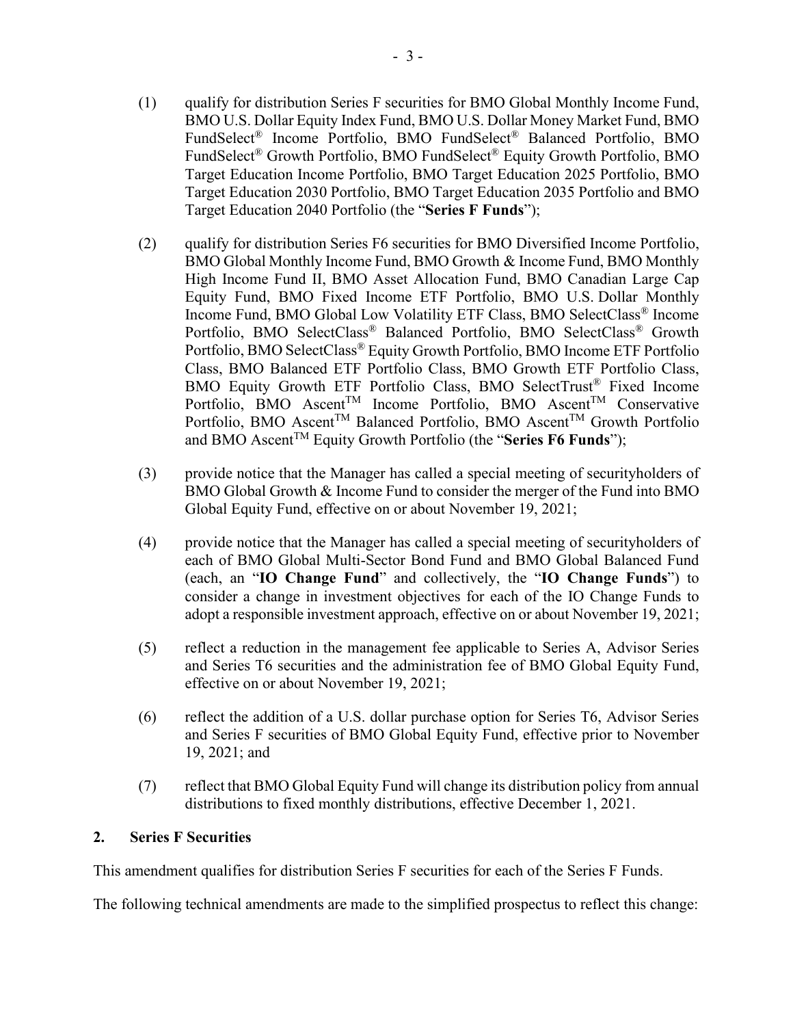- (1) qualify for distribution Series F securities for BMO Global Monthly Income Fund, BMO U.S. Dollar Equity Index Fund, BMO U.S. Dollar Money Market Fund, BMO FundSelect® Income Portfolio, BMO FundSelect® Balanced Portfolio, BMO FundSelect® Growth Portfolio, BMO FundSelect® Equity Growth Portfolio, BMO Target Education Income Portfolio, BMO Target Education 2025 Portfolio, BMO Target Education 2030 Portfolio, BMO Target Education 2035 Portfolio and BMO Target Education 2040 Portfolio (the "**Series F Funds**");
- (2) qualify for distribution Series F6 securities for BMO Diversified Income Portfolio, BMO Global Monthly Income Fund, BMO Growth & Income Fund, BMO Monthly High Income Fund II, BMO Asset Allocation Fund, BMO Canadian Large Cap Equity Fund, BMO Fixed Income ETF Portfolio, BMO U.S. Dollar Monthly Income Fund, BMO Global Low Volatility ETF Class, BMO SelectClass® Income Portfolio, BMO SelectClass® Balanced Portfolio, BMO SelectClass® Growth Portfolio, BMO SelectClass® Equity Growth Portfolio, BMO Income ETF Portfolio Class, BMO Balanced ETF Portfolio Class, BMO Growth ETF Portfolio Class, BMO Equity Growth ETF Portfolio Class, BMO SelectTrust® Fixed Income Portfolio, BMO Ascent<sup>TM</sup> Income Portfolio, BMO Ascent<sup>TM</sup> Conservative Portfolio, BMO Ascent<sup>TM</sup> Balanced Portfolio, BMO Ascent<sup>TM</sup> Growth Portfolio and BMO AscentTM Equity Growth Portfolio (the "**Series F6 Funds**");
- (3) provide notice that the Manager has called a special meeting of securityholders of BMO Global Growth & Income Fund to consider the merger of the Fund into BMO Global Equity Fund, effective on or about November 19, 2021;
- (4) provide notice that the Manager has called a special meeting of securityholders of each of BMO Global Multi-Sector Bond Fund and BMO Global Balanced Fund (each, an "**IO Change Fund**" and collectively, the "**IO Change Funds**") to consider a change in investment objectives for each of the IO Change Funds to adopt a responsible investment approach, effective on or about November 19, 2021;
- (5) reflect a reduction in the management fee applicable to Series A, Advisor Series and Series T6 securities and the administration fee of BMO Global Equity Fund, effective on or about November 19, 2021;
- (6) reflect the addition of a U.S. dollar purchase option for Series T6, Advisor Series and Series F securities of BMO Global Equity Fund, effective prior to November 19, 2021; and
- (7) reflect that BMO Global Equity Fund will change its distribution policy from annual distributions to fixed monthly distributions, effective December 1, 2021.

### **2. Series F Securities**

This amendment qualifies for distribution Series F securities for each of the Series F Funds.

The following technical amendments are made to the simplified prospectus to reflect this change: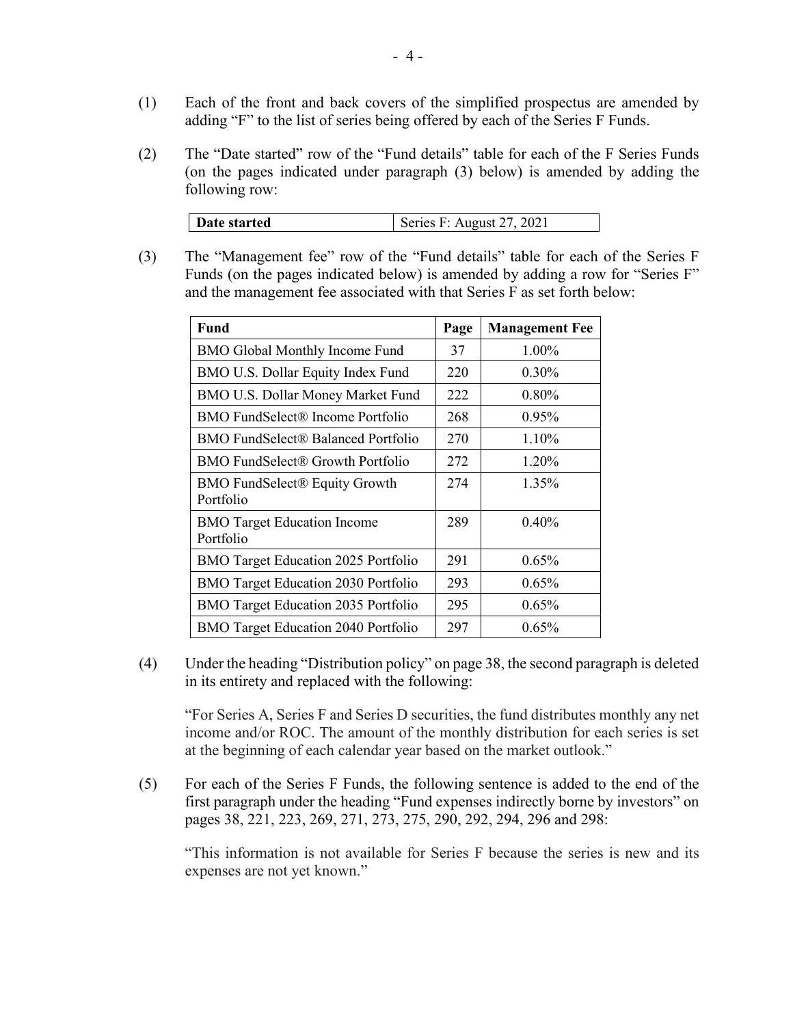- (1) Each of the front and back covers of the simplified prospectus are amended by adding "F" to the list of series being offered by each of the Series F Funds.
- (2) The "Date started" row of the "Fund details" table for each of the F Series Funds (on the pages indicated under paragraph (3) below) is amended by adding the following row:

| Date started | Series F: August 27, 2021 |
|--------------|---------------------------|
|              |                           |

(3) The "Management fee" row of the "Fund details" table for each of the Series F Funds (on the pages indicated below) is amended by adding a row for "Series F" and the management fee associated with that Series F as set forth below:

| Fund                                              | Page | <b>Management Fee</b> |
|---------------------------------------------------|------|-----------------------|
| <b>BMO Global Monthly Income Fund</b>             | 37   | 1.00%                 |
| BMO U.S. Dollar Equity Index Fund                 | 220  | $0.30\%$              |
| BMO U.S. Dollar Money Market Fund                 | 222  | $0.80\%$              |
| BMO FundSelect® Income Portfolio                  | 268  | 0.95%                 |
| BMO FundSelect® Balanced Portfolio                | 270  | 1.10%                 |
| BMO FundSelect® Growth Portfolio                  | 272  | 1.20%                 |
| <b>BMO FundSelect® Equity Growth</b><br>Portfolio | 274  | 1.35%                 |
| <b>BMO</b> Target Education Income<br>Portfolio   | 289  | 0.40%                 |
| <b>BMO</b> Target Education 2025 Portfolio        | 291  | $0.65\%$              |
| <b>BMO</b> Target Education 2030 Portfolio        | 293  | 0.65%                 |
| <b>BMO</b> Target Education 2035 Portfolio        | 295  | $0.65\%$              |
| <b>BMO</b> Target Education 2040 Portfolio        | 297  | $0.65\%$              |

(4) Under the heading "Distribution policy" on page 38, the second paragraph is deleted in its entirety and replaced with the following:

"For Series A, Series F and Series D securities, the fund distributes monthly any net income and/or ROC. The amount of the monthly distribution for each series is set at the beginning of each calendar year based on the market outlook."

(5) For each of the Series F Funds, the following sentence is added to the end of the first paragraph under the heading "Fund expenses indirectly borne by investors" on pages 38, 221, 223, 269, 271, 273, 275, 290, 292, 294, 296 and 298:

"This information is not available for Series F because the series is new and its expenses are not yet known."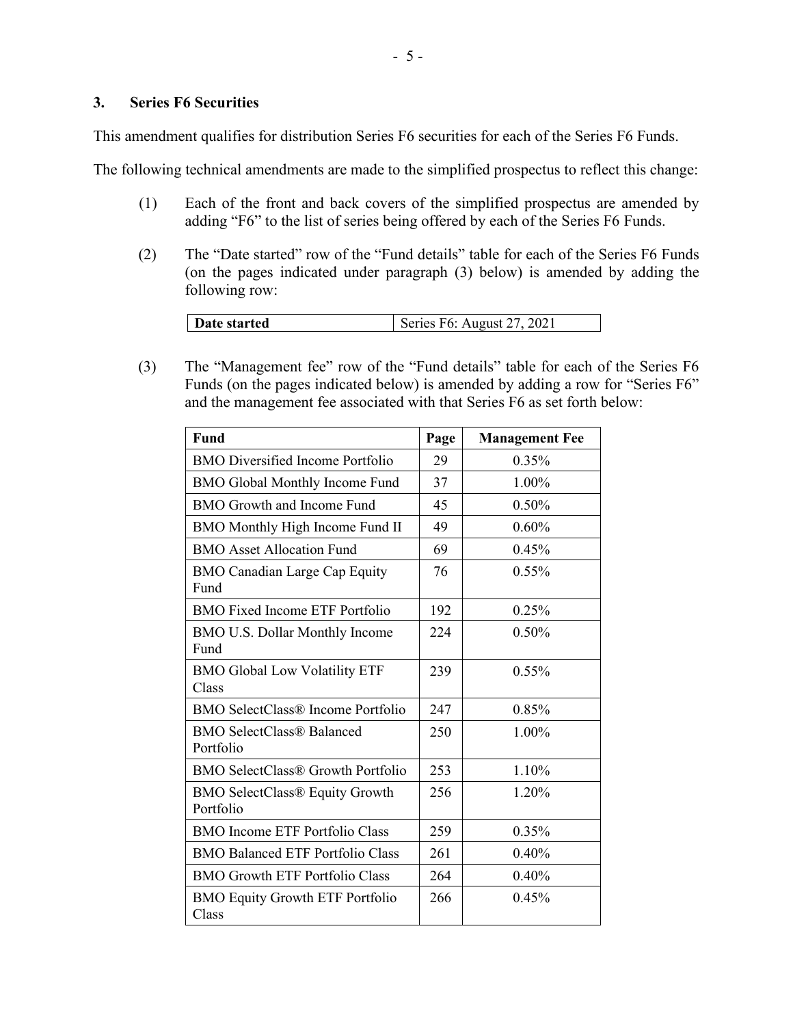### **3. Series F6 Securities**

This amendment qualifies for distribution Series F6 securities for each of the Series F6 Funds.

The following technical amendments are made to the simplified prospectus to reflect this change:

- (1) Each of the front and back covers of the simplified prospectus are amended by adding "F6" to the list of series being offered by each of the Series F6 Funds.
- (2) The "Date started" row of the "Fund details" table for each of the Series F6 Funds (on the pages indicated under paragraph (3) below) is amended by adding the following row:

| Series F6: August 27, 2021<br>Date started |
|--------------------------------------------|
|--------------------------------------------|

(3) The "Management fee" row of the "Fund details" table for each of the Series F6 Funds (on the pages indicated below) is amended by adding a row for "Series F6" and the management fee associated with that Series F6 as set forth below:

| <b>Fund</b>                                        | Page | <b>Management Fee</b> |
|----------------------------------------------------|------|-----------------------|
| <b>BMO</b> Diversified Income Portfolio            | 29   | 0.35%                 |
| <b>BMO Global Monthly Income Fund</b>              | 37   | 1.00%                 |
| BMO Growth and Income Fund                         | 45   | 0.50%                 |
| BMO Monthly High Income Fund II                    | 49   | $0.60\%$              |
| <b>BMO Asset Allocation Fund</b>                   | 69   | 0.45%                 |
| <b>BMO Canadian Large Cap Equity</b><br>Fund       | 76   | 0.55%                 |
| <b>BMO Fixed Income ETF Portfolio</b>              | 192  | 0.25%                 |
| BMO U.S. Dollar Monthly Income<br>Fund             | 224  | 0.50%                 |
| <b>BMO Global Low Volatility ETF</b><br>Class      | 239  | $0.55\%$              |
| <b>BMO SelectClass® Income Portfolio</b>           | 247  | 0.85%                 |
| <b>BMO SelectClass® Balanced</b><br>Portfolio      | 250  | 1.00%                 |
| <b>BMO SelectClass® Growth Portfolio</b>           | 253  | 1.10%                 |
| <b>BMO SelectClass® Equity Growth</b><br>Portfolio | 256  | 1.20%                 |
| <b>BMO</b> Income ETF Portfolio Class              | 259  | 0.35%                 |
| <b>BMO Balanced ETF Portfolio Class</b>            | 261  | 0.40%                 |
| <b>BMO Growth ETF Portfolio Class</b>              | 264  | 0.40%                 |
| <b>BMO Equity Growth ETF Portfolio</b><br>Class    | 266  | 0.45%                 |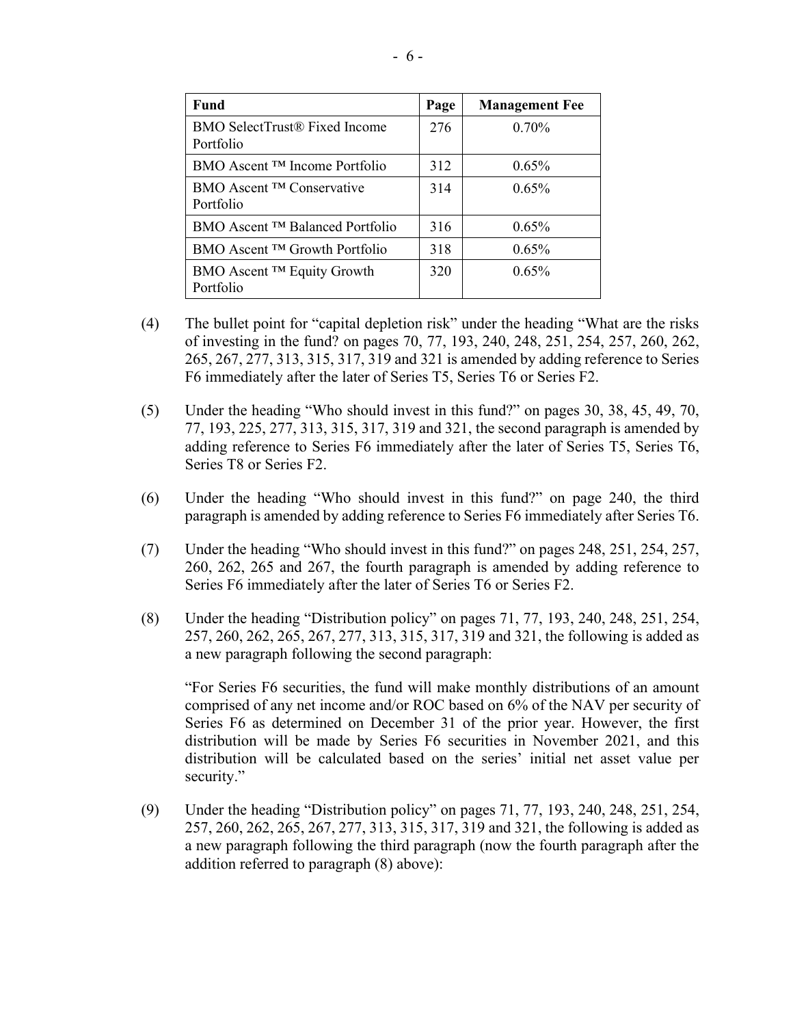| Fund                                               | Page | <b>Management Fee</b> |
|----------------------------------------------------|------|-----------------------|
| BMO SelectTrust® Fixed Income<br>Portfolio         | 276  | $0.70\%$              |
| BMO Ascent <sup>TM</sup> Income Portfolio          | 312  | 0.65%                 |
| BMO Ascent <sup>TM</sup> Conservative<br>Portfolio | 314  | $0.65\%$              |
| BMO Ascent <sup>TM</sup> Balanced Portfolio        | 316  | 0.65%                 |
| $BMO$ Ascent $TM$ Growth Portfolio                 | 318  | 0.65%                 |
| BMO Ascent ™ Equity Growth<br>Portfolio            | 320  | $0.65\%$              |

- (4) The bullet point for "capital depletion risk" under the heading "What are the risks of investing in the fund? on pages 70, 77, 193, 240, 248, 251, 254, 257, 260, 262, 265, 267, 277, 313, 315, 317, 319 and 321 is amended by adding reference to Series F6 immediately after the later of Series T5, Series T6 or Series F2.
- (5) Under the heading "Who should invest in this fund?" on pages 30, 38, 45, 49, 70, 77, 193, 225, 277, 313, 315, 317, 319 and 321, the second paragraph is amended by adding reference to Series F6 immediately after the later of Series T5, Series T6, Series T8 or Series F2.
- (6) Under the heading "Who should invest in this fund?" on page 240, the third paragraph is amended by adding reference to Series F6 immediately after Series T6.
- (7) Under the heading "Who should invest in this fund?" on pages 248, 251, 254, 257, 260, 262, 265 and 267, the fourth paragraph is amended by adding reference to Series F6 immediately after the later of Series T6 or Series F2.
- (8) Under the heading "Distribution policy" on pages 71, 77, 193, 240, 248, 251, 254, 257, 260, 262, 265, 267, 277, 313, 315, 317, 319 and 321, the following is added as a new paragraph following the second paragraph:

"For Series F6 securities, the fund will make monthly distributions of an amount comprised of any net income and/or ROC based on 6% of the NAV per security of Series F6 as determined on December 31 of the prior year. However, the first distribution will be made by Series F6 securities in November 2021, and this distribution will be calculated based on the series' initial net asset value per security."

(9) Under the heading "Distribution policy" on pages 71, 77, 193, 240, 248, 251, 254, 257, 260, 262, 265, 267, 277, 313, 315, 317, 319 and 321, the following is added as a new paragraph following the third paragraph (now the fourth paragraph after the addition referred to paragraph (8) above):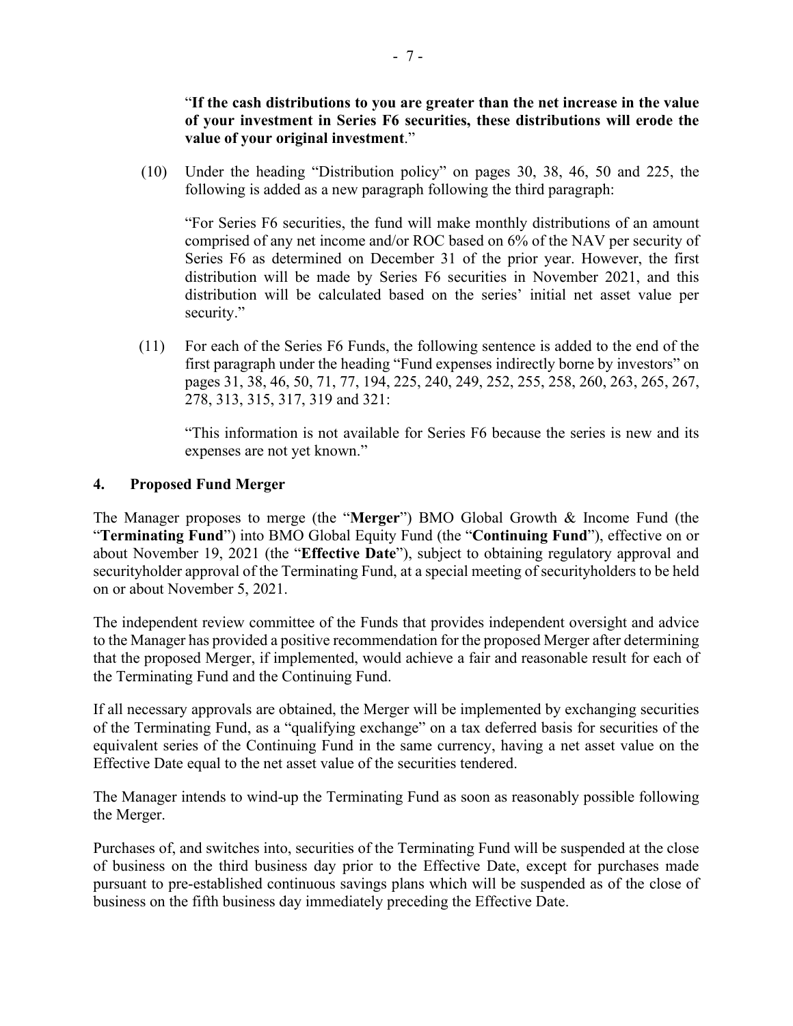"**If the cash distributions to you are greater than the net increase in the value of your investment in Series F6 securities, these distributions will erode the value of your original investment**."

(10) Under the heading "Distribution policy" on pages 30, 38, 46, 50 and 225, the following is added as a new paragraph following the third paragraph:

"For Series F6 securities, the fund will make monthly distributions of an amount comprised of any net income and/or ROC based on 6% of the NAV per security of Series F6 as determined on December 31 of the prior year. However, the first distribution will be made by Series F6 securities in November 2021, and this distribution will be calculated based on the series' initial net asset value per security."

(11) For each of the Series F6 Funds, the following sentence is added to the end of the first paragraph under the heading "Fund expenses indirectly borne by investors" on pages 31, 38, 46, 50, 71, 77, 194, 225, 240, 249, 252, 255, 258, 260, 263, 265, 267, 278, 313, 315, 317, 319 and 321:

"This information is not available for Series F6 because the series is new and its expenses are not yet known."

### **4. Proposed Fund Merger**

The Manager proposes to merge (the "**Merger**") BMO Global Growth & Income Fund (the "**Terminating Fund**") into BMO Global Equity Fund (the "**Continuing Fund**"), effective on or about November 19, 2021 (the "**Effective Date**"), subject to obtaining regulatory approval and securityholder approval of the Terminating Fund, at a special meeting of securityholders to be held on or about November 5, 2021.

The independent review committee of the Funds that provides independent oversight and advice to the Manager has provided a positive recommendation for the proposed Merger after determining that the proposed Merger, if implemented, would achieve a fair and reasonable result for each of the Terminating Fund and the Continuing Fund.

If all necessary approvals are obtained, the Merger will be implemented by exchanging securities of the Terminating Fund, as a "qualifying exchange" on a tax deferred basis for securities of the equivalent series of the Continuing Fund in the same currency, having a net asset value on the Effective Date equal to the net asset value of the securities tendered.

The Manager intends to wind-up the Terminating Fund as soon as reasonably possible following the Merger.

Purchases of, and switches into, securities of the Terminating Fund will be suspended at the close of business on the third business day prior to the Effective Date, except for purchases made pursuant to pre-established continuous savings plans which will be suspended as of the close of business on the fifth business day immediately preceding the Effective Date.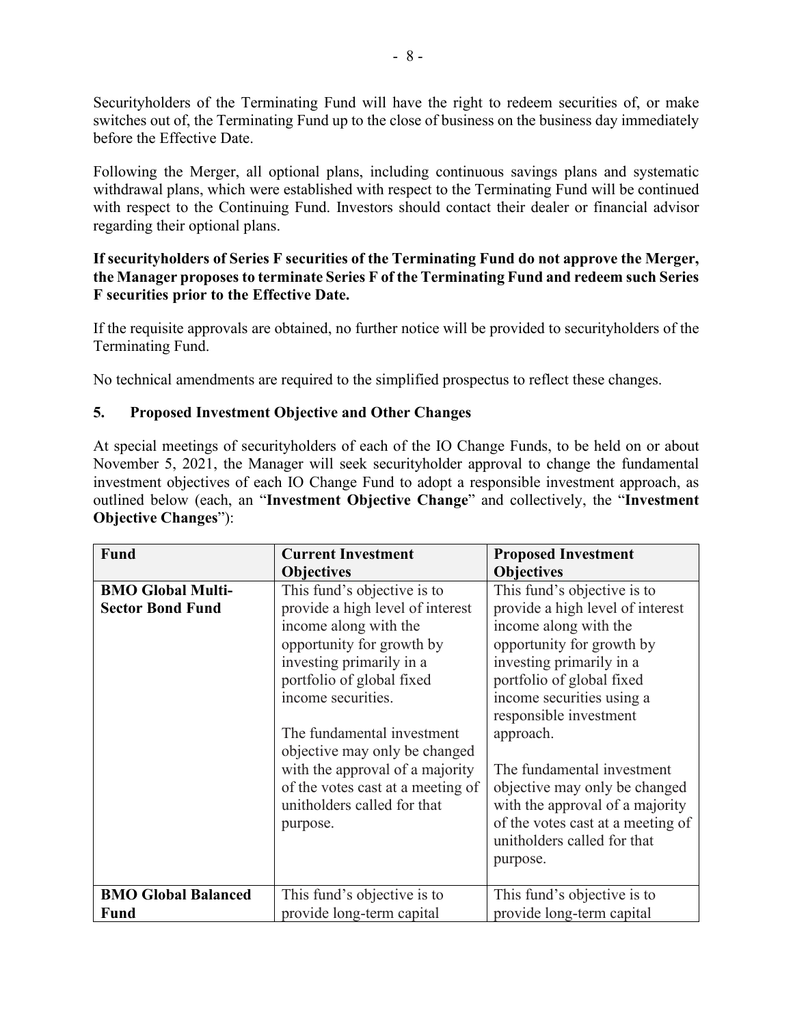Securityholders of the Terminating Fund will have the right to redeem securities of, or make switches out of, the Terminating Fund up to the close of business on the business day immediately before the Effective Date.

Following the Merger, all optional plans, including continuous savings plans and systematic withdrawal plans, which were established with respect to the Terminating Fund will be continued with respect to the Continuing Fund. Investors should contact their dealer or financial advisor regarding their optional plans.

## **If securityholders of Series F securities of the Terminating Fund do not approve the Merger, the Manager proposes to terminate Series F of the Terminating Fund and redeem such Series F securities prior to the Effective Date.**

If the requisite approvals are obtained, no further notice will be provided to securityholders of the Terminating Fund.

No technical amendments are required to the simplified prospectus to reflect these changes.

# **5. Proposed Investment Objective and Other Changes**

At special meetings of securityholders of each of the IO Change Funds, to be held on or about November 5, 2021, the Manager will seek securityholder approval to change the fundamental investment objectives of each IO Change Fund to adopt a responsible investment approach, as outlined below (each, an "**Investment Objective Change**" and collectively, the "**Investment Objective Changes**"):

| <b>Fund</b>                | <b>Current Investment</b>         | <b>Proposed Investment</b>        |
|----------------------------|-----------------------------------|-----------------------------------|
|                            | <b>Objectives</b>                 | <b>Objectives</b>                 |
| <b>BMO Global Multi-</b>   | This fund's objective is to       | This fund's objective is to       |
| <b>Sector Bond Fund</b>    | provide a high level of interest  | provide a high level of interest  |
|                            | income along with the             | income along with the             |
|                            | opportunity for growth by         | opportunity for growth by         |
|                            | investing primarily in a          | investing primarily in a          |
|                            | portfolio of global fixed         | portfolio of global fixed         |
|                            | income securities.                | income securities using a         |
|                            |                                   | responsible investment            |
|                            | The fundamental investment        | approach.                         |
|                            | objective may only be changed     |                                   |
|                            | with the approval of a majority   | The fundamental investment        |
|                            | of the votes cast at a meeting of | objective may only be changed     |
|                            | unitholders called for that       | with the approval of a majority   |
|                            | purpose.                          | of the votes cast at a meeting of |
|                            |                                   | unitholders called for that       |
|                            |                                   | purpose.                          |
|                            |                                   |                                   |
| <b>BMO Global Balanced</b> | This fund's objective is to       | This fund's objective is to       |
| <b>Fund</b>                | provide long-term capital         | provide long-term capital         |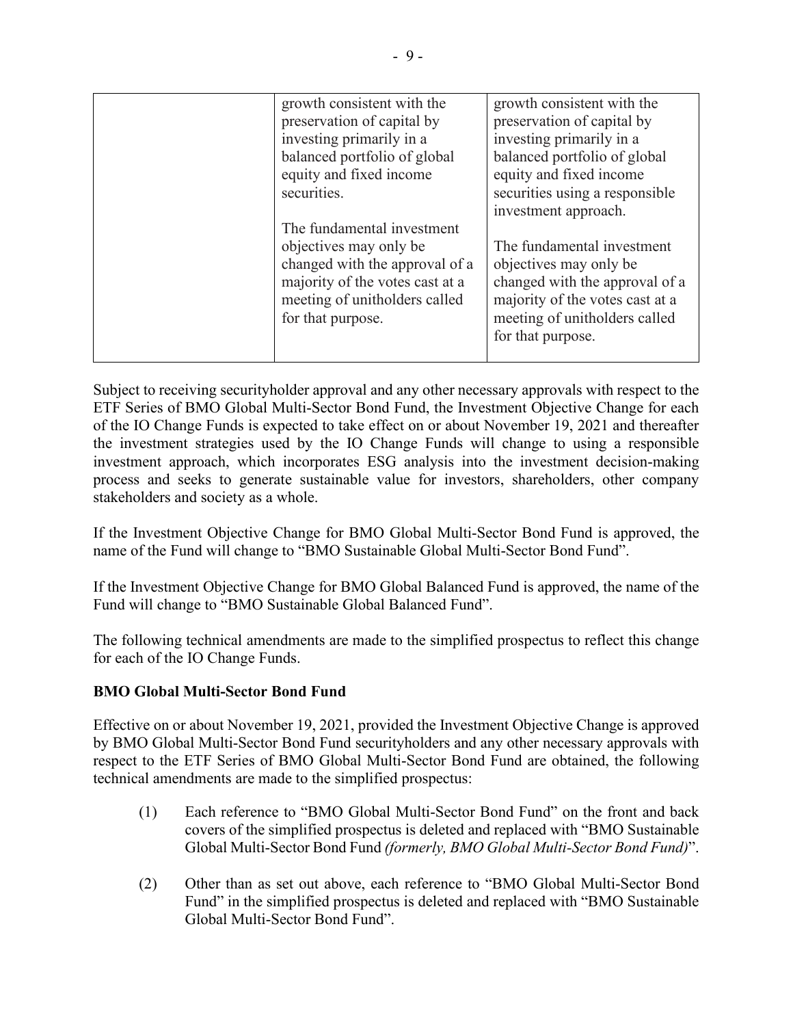| growth consistent with the<br>growth consistent with the<br>preservation of capital by<br>preservation of capital by<br>investing primarily in a<br>investing primarily in a<br>balanced portfolio of global<br>balanced portfolio of global<br>equity and fixed income<br>equity and fixed income<br>securities using a responsible<br>securities.<br>investment approach.<br>The fundamental investment<br>objectives may only be<br>The fundamental investment<br>changed with the approval of a<br>objectives may only be |
|-------------------------------------------------------------------------------------------------------------------------------------------------------------------------------------------------------------------------------------------------------------------------------------------------------------------------------------------------------------------------------------------------------------------------------------------------------------------------------------------------------------------------------|
| changed with the approval of a<br>majority of the votes cast at a<br>majority of the votes cast at a<br>meeting of unitholders called<br>meeting of unitholders called<br>for that purpose.<br>for that purpose.                                                                                                                                                                                                                                                                                                              |

Subject to receiving securityholder approval and any other necessary approvals with respect to the ETF Series of BMO Global Multi-Sector Bond Fund, the Investment Objective Change for each of the IO Change Funds is expected to take effect on or about November 19, 2021 and thereafter the investment strategies used by the IO Change Funds will change to using a responsible investment approach, which incorporates ESG analysis into the investment decision-making process and seeks to generate sustainable value for investors, shareholders, other company stakeholders and society as a whole.

If the Investment Objective Change for BMO Global Multi-Sector Bond Fund is approved, the name of the Fund will change to "BMO Sustainable Global Multi-Sector Bond Fund".

If the Investment Objective Change for BMO Global Balanced Fund is approved, the name of the Fund will change to "BMO Sustainable Global Balanced Fund".

The following technical amendments are made to the simplified prospectus to reflect this change for each of the IO Change Funds.

# **BMO Global Multi-Sector Bond Fund**

Effective on or about November 19, 2021, provided the Investment Objective Change is approved by BMO Global Multi-Sector Bond Fund securityholders and any other necessary approvals with respect to the ETF Series of BMO Global Multi-Sector Bond Fund are obtained, the following technical amendments are made to the simplified prospectus:

- (1) Each reference to "BMO Global Multi-Sector Bond Fund" on the front and back covers of the simplified prospectus is deleted and replaced with "BMO Sustainable Global Multi-Sector Bond Fund *(formerly, BMO Global Multi-Sector Bond Fund)*".
- (2) Other than as set out above, each reference to "BMO Global Multi-Sector Bond Fund" in the simplified prospectus is deleted and replaced with "BMO Sustainable Global Multi-Sector Bond Fund".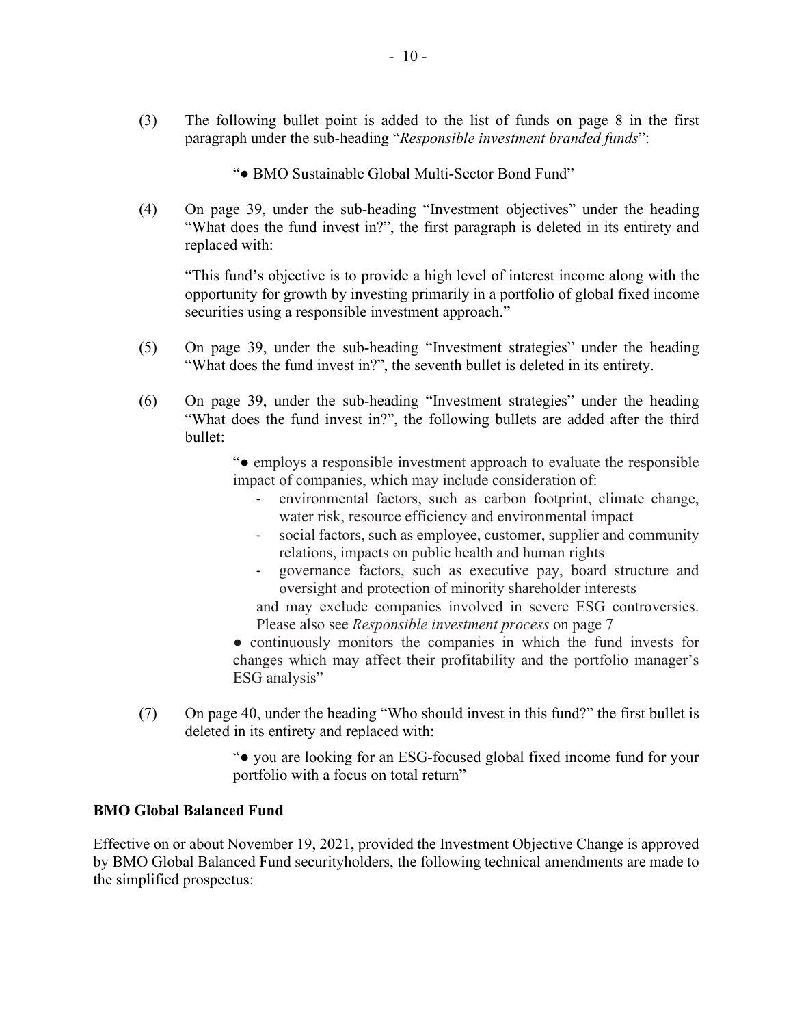(3) The following bullet point is added to the list of funds on page 8 in the first paragraph under the sub-heading "*Responsible investment branded funds*":

"**●** BMO Sustainable Global Multi-Sector Bond Fund"

(4) On page 39, under the sub-heading "Investment objectives" under the heading "What does the fund invest in?", the first paragraph is deleted in its entirety and replaced with:

"This fund's objective is to provide a high level of interest income along with the opportunity for growth by investing primarily in a portfolio of global fixed income securities using a responsible investment approach."

- (5) On page 39, under the sub-heading "Investment strategies" under the heading "What does the fund invest in?", the seventh bullet is deleted in its entirety.
- (6) On page 39, under the sub-heading "Investment strategies" under the heading "What does the fund invest in?", the following bullets are added after the third bullet:

"● employs a responsible investment approach to evaluate the responsible impact of companies, which may include consideration of:

- environmental factors, such as carbon footprint, climate change, water risk, resource efficiency and environmental impact
- social factors, such as employee, customer, supplier and community relations, impacts on public health and human rights
- governance factors, such as executive pay, board structure and oversight and protection of minority shareholder interests
- and may exclude companies involved in severe ESG controversies. Please also see *Responsible investment process* on page 7
- continuously monitors the companies in which the fund invests for changes which may affect their profitability and the portfolio manager's ESG analysis"
- (7) On page 40, under the heading "Who should invest in this fund?" the first bullet is deleted in its entirety and replaced with:

"● you are looking for an ESG-focused global fixed income fund for your portfolio with a focus on total return"

### **BMO Global Balanced Fund**

Effective on or about November 19, 2021, provided the Investment Objective Change is approved by BMO Global Balanced Fund securityholders, the following technical amendments are made to the simplified prospectus: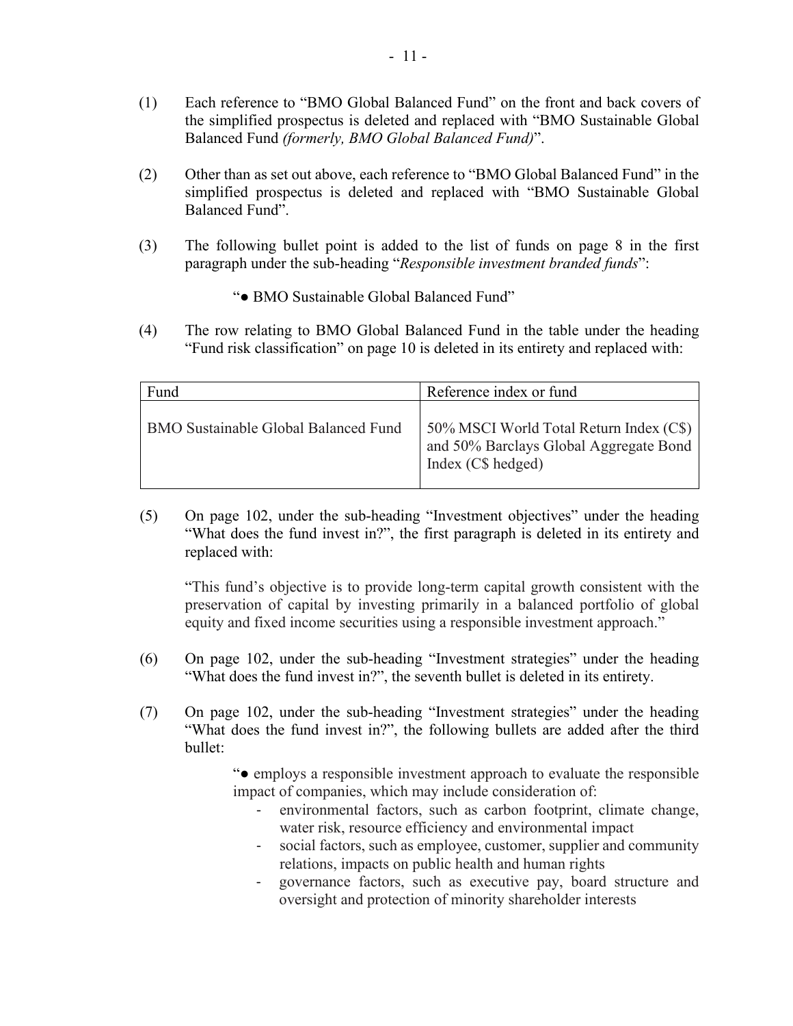- (1) Each reference to "BMO Global Balanced Fund" on the front and back covers of the simplified prospectus is deleted and replaced with "BMO Sustainable Global Balanced Fund *(formerly, BMO Global Balanced Fund)*".
- (2) Other than as set out above, each reference to "BMO Global Balanced Fund" in the simplified prospectus is deleted and replaced with "BMO Sustainable Global Balanced Fund".
- (3) The following bullet point is added to the list of funds on page 8 in the first paragraph under the sub-heading "*Responsible investment branded funds*":
	- "● BMO Sustainable Global Balanced Fund"
- (4) The row relating to BMO Global Balanced Fund in the table under the heading "Fund risk classification" on page 10 is deleted in its entirety and replaced with:

| Fund                                        | Reference index or fund                                                                                 |
|---------------------------------------------|---------------------------------------------------------------------------------------------------------|
| <b>BMO Sustainable Global Balanced Fund</b> | 50% MSCI World Total Return Index (C\$)<br>and 50% Barclays Global Aggregate Bond<br>Index (C\$ hedged) |

(5) On page 102, under the sub-heading "Investment objectives" under the heading "What does the fund invest in?", the first paragraph is deleted in its entirety and replaced with:

"This fund's objective is to provide long-term capital growth consistent with the preservation of capital by investing primarily in a balanced portfolio of global equity and fixed income securities using a responsible investment approach."

- (6) On page 102, under the sub-heading "Investment strategies" under the heading "What does the fund invest in?", the seventh bullet is deleted in its entirety.
- (7) On page 102, under the sub-heading "Investment strategies" under the heading "What does the fund invest in?", the following bullets are added after the third bullet:

"● employs a responsible investment approach to evaluate the responsible impact of companies, which may include consideration of:

- environmental factors, such as carbon footprint, climate change, water risk, resource efficiency and environmental impact
- social factors, such as employee, customer, supplier and community relations, impacts on public health and human rights
- governance factors, such as executive pay, board structure and oversight and protection of minority shareholder interests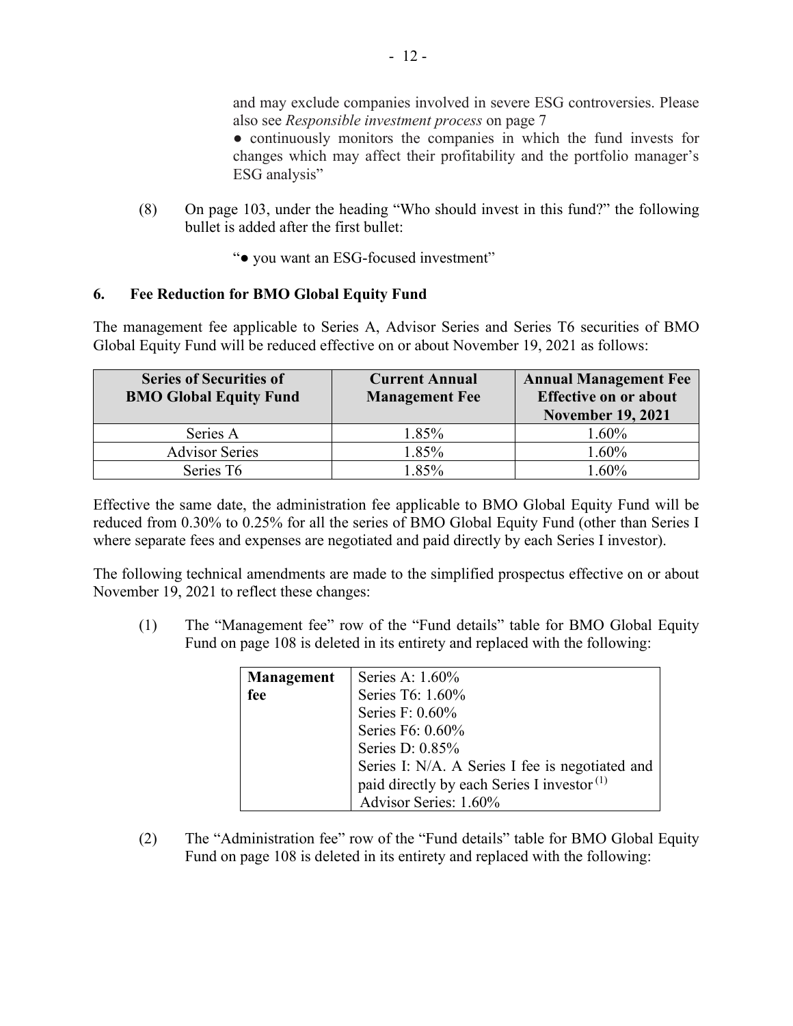and may exclude companies involved in severe ESG controversies. Please also see *Responsible investment process* on page 7

● continuously monitors the companies in which the fund invests for changes which may affect their profitability and the portfolio manager's ESG analysis"

- (8) On page 103, under the heading "Who should invest in this fund?" the following bullet is added after the first bullet:
	- "● you want an ESG-focused investment"

## **6. Fee Reduction for BMO Global Equity Fund**

The management fee applicable to Series A, Advisor Series and Series T6 securities of BMO Global Equity Fund will be reduced effective on or about November 19, 2021 as follows:

| <b>Series of Securities of</b><br><b>BMO Global Equity Fund</b> | <b>Current Annual</b><br><b>Management Fee</b> | <b>Annual Management Fee</b><br><b>Effective on or about</b><br><b>November 19, 2021</b> |
|-----------------------------------------------------------------|------------------------------------------------|------------------------------------------------------------------------------------------|
| Series A                                                        | 1.85%                                          | 1.60%                                                                                    |
| <b>Advisor Series</b>                                           | 1.85%                                          | 1.60%                                                                                    |
| Series T6                                                       | $.85\%$                                        | 60%                                                                                      |

Effective the same date, the administration fee applicable to BMO Global Equity Fund will be reduced from 0.30% to 0.25% for all the series of BMO Global Equity Fund (other than Series I where separate fees and expenses are negotiated and paid directly by each Series I investor).

The following technical amendments are made to the simplified prospectus effective on or about November 19, 2021 to reflect these changes:

(1) The "Management fee" row of the "Fund details" table for BMO Global Equity Fund on page 108 is deleted in its entirety and replaced with the following:

| <b>Management</b> | Series A: 1.60%                                        |
|-------------------|--------------------------------------------------------|
| fee               | Series T6: 1.60%                                       |
|                   | Series F: 0.60%                                        |
|                   | Series F6: 0.60%                                       |
|                   | Series D: 0.85%                                        |
|                   | Series I: N/A. A Series I fee is negotiated and        |
|                   | paid directly by each Series I investor <sup>(1)</sup> |
|                   | Advisor Series: 1.60%                                  |

(2) The "Administration fee" row of the "Fund details" table for BMO Global Equity Fund on page 108 is deleted in its entirety and replaced with the following: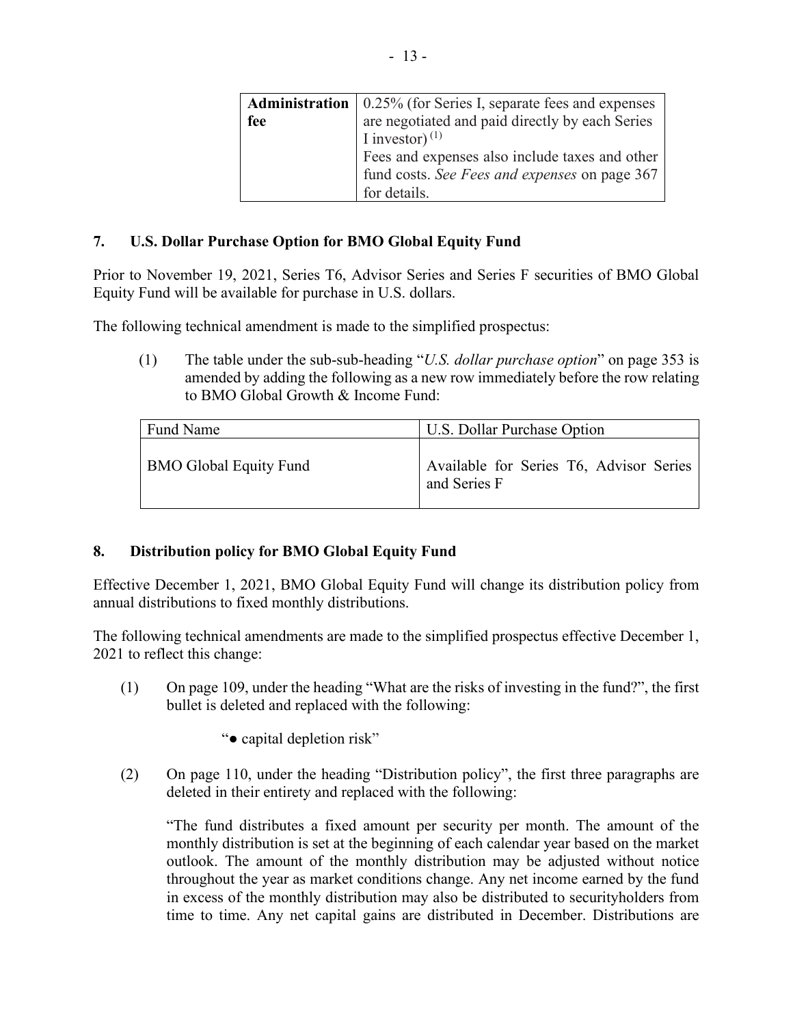|     | <b>Administration</b>   0.25% (for Series I, separate fees and expenses |
|-----|-------------------------------------------------------------------------|
| fee | are negotiated and paid directly by each Series                         |
|     | I investor) $^{(1)}$                                                    |
|     | Fees and expenses also include taxes and other                          |
|     | fund costs. See Fees and expenses on page 367                           |
|     | for details.                                                            |

## **7. U.S. Dollar Purchase Option for BMO Global Equity Fund**

Prior to November 19, 2021, Series T6, Advisor Series and Series F securities of BMO Global Equity Fund will be available for purchase in U.S. dollars.

The following technical amendment is made to the simplified prospectus:

(1) The table under the sub-sub-heading "*U.S. dollar purchase option*" on page 353 is amended by adding the following as a new row immediately before the row relating to BMO Global Growth & Income Fund:

| Fund Name                     | U.S. Dollar Purchase Option                             |
|-------------------------------|---------------------------------------------------------|
| <b>BMO Global Equity Fund</b> | Available for Series T6, Advisor Series<br>and Series F |

# **8. Distribution policy for BMO Global Equity Fund**

Effective December 1, 2021, BMO Global Equity Fund will change its distribution policy from annual distributions to fixed monthly distributions.

The following technical amendments are made to the simplified prospectus effective December 1, 2021 to reflect this change:

- (1) On page 109, under the heading "What are the risks of investing in the fund?", the first bullet is deleted and replaced with the following:
	- "● capital depletion risk"
- (2) On page 110, under the heading "Distribution policy", the first three paragraphs are deleted in their entirety and replaced with the following:

"The fund distributes a fixed amount per security per month. The amount of the monthly distribution is set at the beginning of each calendar year based on the market outlook. The amount of the monthly distribution may be adjusted without notice throughout the year as market conditions change. Any net income earned by the fund in excess of the monthly distribution may also be distributed to securityholders from time to time. Any net capital gains are distributed in December. Distributions are